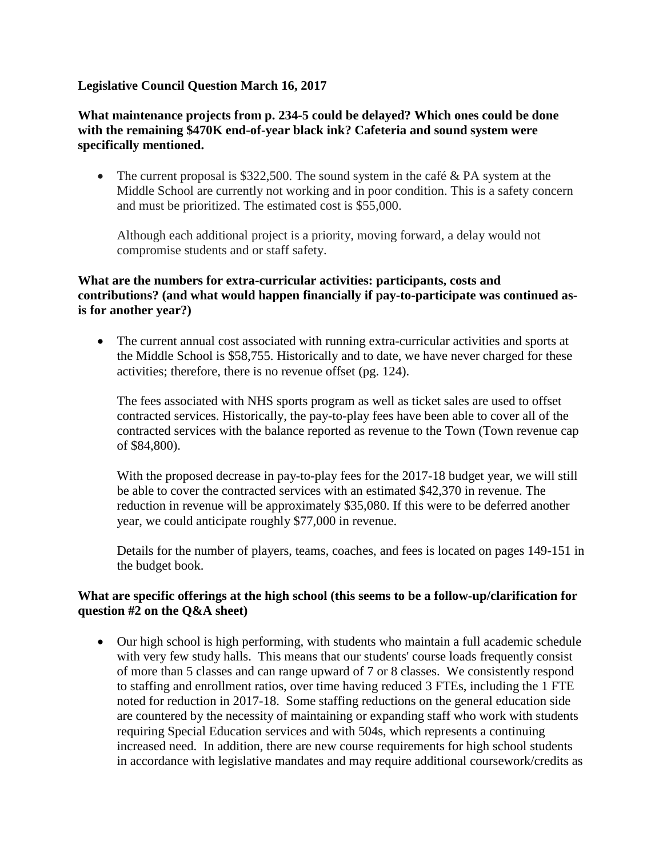## **Legislative Council Question March 16, 2017**

**What maintenance projects from p. 234-5 could be delayed? Which ones could be done with the remaining \$470K end-of-year black ink? Cafeteria and sound system were specifically mentioned.**

• The current proposal is \$322,500. The sound system in the café  $\&$  PA system at the Middle School are currently not working and in poor condition. This is a safety concern and must be prioritized. The estimated cost is \$55,000.

Although each additional project is a priority, moving forward, a delay would not compromise students and or staff safety.

# **What are the numbers for extra-curricular activities: participants, costs and contributions? (and what would happen financially if pay-to-participate was continued asis for another year?)**

• The current annual cost associated with running extra-curricular activities and sports at the Middle School is \$58,755. Historically and to date, we have never charged for these activities; therefore, there is no revenue offset (pg. 124).

The fees associated with NHS sports program as well as ticket sales are used to offset contracted services. Historically, the pay-to-play fees have been able to cover all of the contracted services with the balance reported as revenue to the Town (Town revenue cap of \$84,800).

With the proposed decrease in pay-to-play fees for the 2017-18 budget year, we will still be able to cover the contracted services with an estimated \$42,370 in revenue. The reduction in revenue will be approximately \$35,080. If this were to be deferred another year, we could anticipate roughly \$77,000 in revenue.

Details for the number of players, teams, coaches, and fees is located on pages 149-151 in the budget book.

## **What are specific offerings at the high school (this seems to be a follow-up/clarification for question #2 on the Q&A sheet)**

• Our high school is high performing, with students who maintain a full academic schedule with very few study halls. This means that our students' course loads frequently consist of more than 5 classes and can range upward of 7 or 8 classes. We consistently respond to staffing and enrollment ratios, over time having reduced 3 FTEs, including the 1 FTE noted for reduction in 2017-18. Some staffing reductions on the general education side are countered by the necessity of maintaining or expanding staff who work with students requiring Special Education services and with 504s, which represents a continuing increased need. In addition, there are new course requirements for high school students in accordance with legislative mandates and may require additional coursework/credits as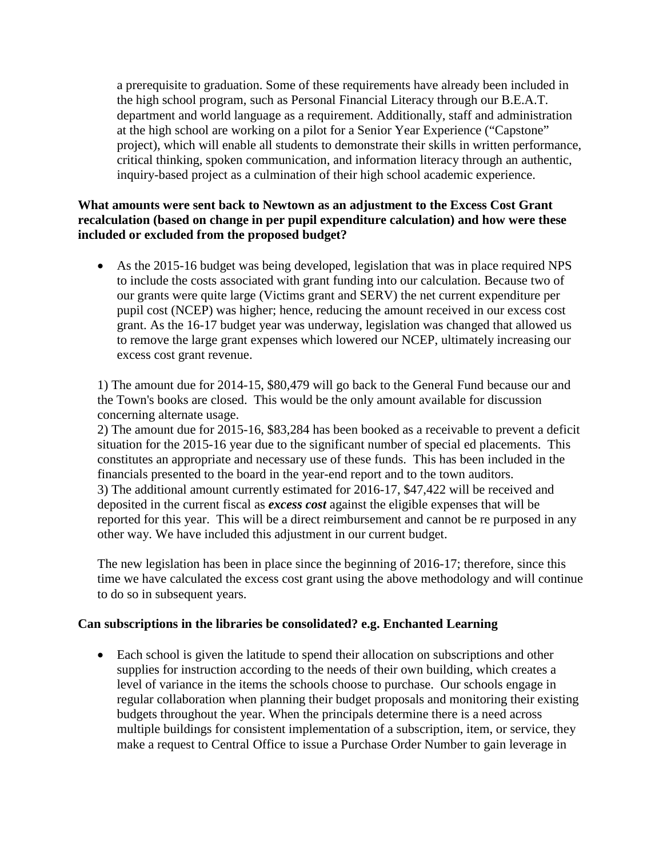a prerequisite to graduation. Some of these requirements have already been included in the high school program, such as Personal Financial Literacy through our B.E.A.T. department and world language as a requirement. Additionally, staff and administration at the high school are working on a pilot for a Senior Year Experience ("Capstone" project), which will enable all students to demonstrate their skills in written performance, critical thinking, spoken communication, and information literacy through an authentic, inquiry-based project as a culmination of their high school academic experience.

# **What amounts were sent back to Newtown as an adjustment to the Excess Cost Grant recalculation (based on change in per pupil expenditure calculation) and how were these included or excluded from the proposed budget?**

• As the 2015-16 budget was being developed, legislation that was in place required NPS to include the costs associated with grant funding into our calculation. Because two of our grants were quite large (Victims grant and SERV) the net current expenditure per pupil cost (NCEP) was higher; hence, reducing the amount received in our excess cost grant. As the 16-17 budget year was underway, legislation was changed that allowed us to remove the large grant expenses which lowered our NCEP, ultimately increasing our excess cost grant revenue.

1) The amount due for 2014-15, \$80,479 will go back to the General Fund because our and the Town's books are closed. This would be the only amount available for discussion concerning alternate usage.

2) The amount due for 2015-16, \$83,284 has been booked as a receivable to prevent a deficit situation for the 2015-16 year due to the significant number of special ed placements. This constitutes an appropriate and necessary use of these funds. This has been included in the financials presented to the board in the year-end report and to the town auditors. 3) The additional amount currently estimated for 2016-17, \$47,422 will be received and deposited in the current fiscal as *excess cost* against the eligible expenses that will be reported for this year. This will be a direct reimbursement and cannot be re purposed in any other way. We have included this adjustment in our current budget.

The new legislation has been in place since the beginning of 2016-17; therefore, since this time we have calculated the excess cost grant using the above methodology and will continue to do so in subsequent years.

# **Can subscriptions in the libraries be consolidated? e.g. Enchanted Learning**

• Each school is given the latitude to spend their allocation on subscriptions and other supplies for instruction according to the needs of their own building, which creates a level of variance in the items the schools choose to purchase. Our schools engage in regular collaboration when planning their budget proposals and monitoring their existing budgets throughout the year. When the principals determine there is a need across multiple buildings for consistent implementation of a subscription, item, or service, they make a request to Central Office to issue a Purchase Order Number to gain leverage in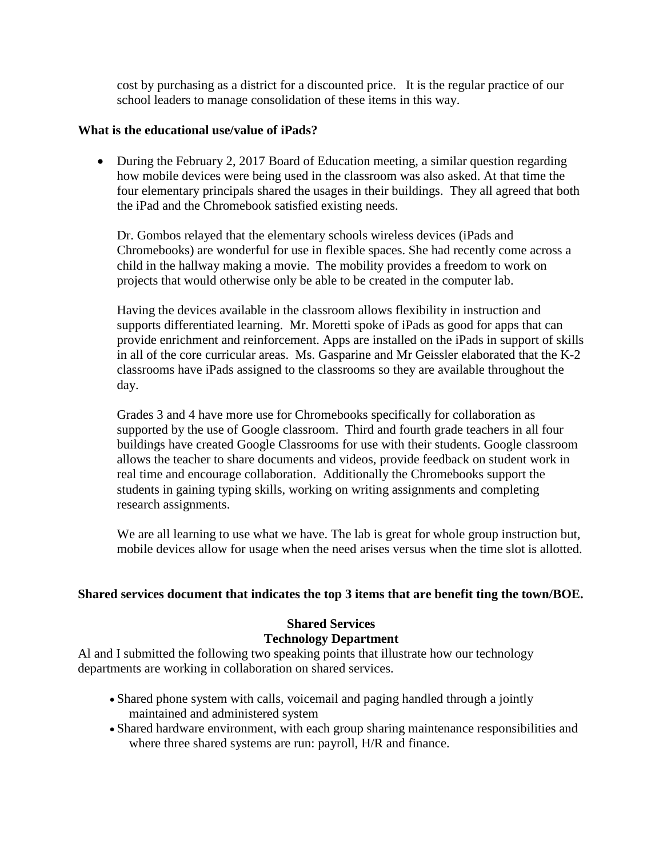cost by purchasing as a district for a discounted price. It is the regular practice of our school leaders to manage consolidation of these items in this way.

#### **What is the educational use/value of iPads?**

• During the February 2, 2017 Board of Education meeting, a similar question regarding how mobile devices were being used in the classroom was also asked. At that time the four elementary principals shared the usages in their buildings. They all agreed that both the iPad and the Chromebook satisfied existing needs.

Dr. Gombos relayed that the elementary schools wireless devices (iPads and Chromebooks) are wonderful for use in flexible spaces. She had recently come across a child in the hallway making a movie. The mobility provides a freedom to work on projects that would otherwise only be able to be created in the computer lab.

Having the devices available in the classroom allows flexibility in instruction and supports differentiated learning. Mr. Moretti spoke of iPads as good for apps that can provide enrichment and reinforcement. Apps are installed on the iPads in support of skills in all of the core curricular areas. Ms. Gasparine and Mr Geissler elaborated that the K-2 classrooms have iPads assigned to the classrooms so they are available throughout the day.

Grades 3 and 4 have more use for Chromebooks specifically for collaboration as supported by the use of Google classroom. Third and fourth grade teachers in all four buildings have created Google Classrooms for use with their students. Google classroom allows the teacher to share documents and videos, provide feedback on student work in real time and encourage collaboration. Additionally the Chromebooks support the students in gaining typing skills, working on writing assignments and completing research assignments.

We are all learning to use what we have. The lab is great for whole group instruction but, mobile devices allow for usage when the need arises versus when the time slot is allotted.

#### **Shared services document that indicates the top 3 items that are benefit ting the town/BOE.**

#### **Shared Services**

#### **Technology Department**

Al and I submitted the following two speaking points that illustrate how our technology departments are working in collaboration on shared services.

- Shared phone system with calls, voicemail and paging handled through a jointly maintained and administered system
- Shared hardware environment, with each group sharing maintenance responsibilities and where three shared systems are run: payroll, H/R and finance.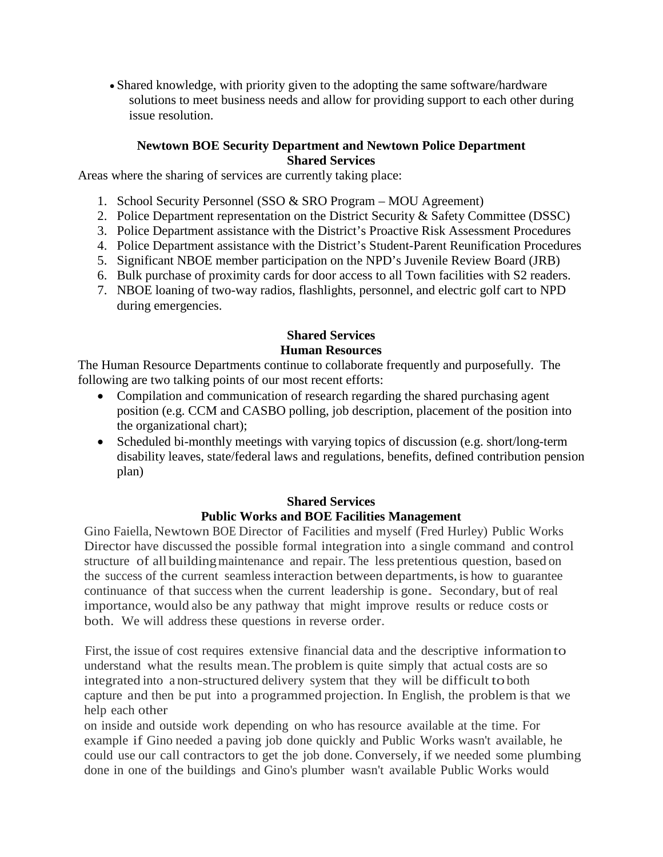• Shared knowledge, with priority given to the adopting the same software/hardware solutions to meet business needs and allow for providing support to each other during issue resolution.

## **Newtown BOE Security Department and Newtown Police Department Shared Services**

Areas where the sharing of services are currently taking place:

- 1. School Security Personnel (SSO & SRO Program MOU Agreement)
- 2. Police Department representation on the District Security & Safety Committee (DSSC)
- 3. Police Department assistance with the District's Proactive Risk Assessment Procedures
- 4. Police Department assistance with the District's Student-Parent Reunification Procedures
- 5. Significant NBOE member participation on the NPD's Juvenile Review Board (JRB)
- 6. Bulk purchase of proximity cards for door access to all Town facilities with S2 readers.
- 7. NBOE loaning of two-way radios, flashlights, personnel, and electric golf cart to NPD during emergencies.

## **Shared Services Human Resources**

The Human Resource Departments continue to collaborate frequently and purposefully. The following are two talking points of our most recent efforts:

- Compilation and communication of research regarding the shared purchasing agent position (e.g. CCM and CASBO polling, job description, placement of the position into the organizational chart);
- Scheduled bi-monthly meetings with varying topics of discussion (e.g. short/long-term disability leaves, state/federal laws and regulations, benefits, defined contribution pension plan)

# **Shared Services Public Works and BOE Facilities Management**

Gino Faiella, Newtown BOE Director of Facilities and myself (Fred Hurley) Public Works Director have discussed the possible formal integration into a single command and control structure of all buildingmaintenance and repair. The less pretentious question, based on the success of the current seamlessinteraction between departments, is how to guarantee continuance of that success when the current leadership is gone. Secondary, but of real importance, would also be any pathway that might improve results or reduce costs or both. We will address these questions in reverse order.

First, the issue of cost requires extensive financial data and the descriptive information to understand what the results mean.The problem is quite simply that actual costs are so integrated into a non-structured delivery system that they will be difficult toboth capture and then be put into a programmed projection. In English, the problem is that we help each other

on inside and outside work depending on who has resource available at the time. For example if Gino needed a paving job done quickly and Public Works wasn't available, he could use our call contractors to get the job done. Conversely, if we needed some plumbing done in one of the buildings and Gino's plumber wasn't available Public Works would